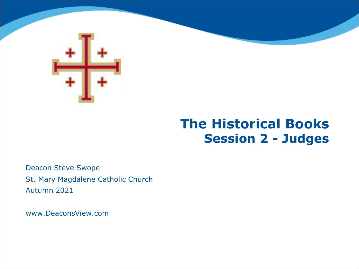

# **The Historical Books Session 2 - Judges**

Deacon Steve Swope St. Mary Magdalene Catholic Church Autumn 2021

www.DeaconsView.com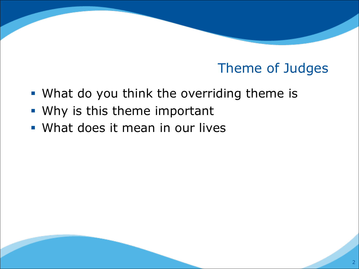# Theme of Judges

- What do you think the overriding theme is
- § Why is this theme important
- § What does it mean in our lives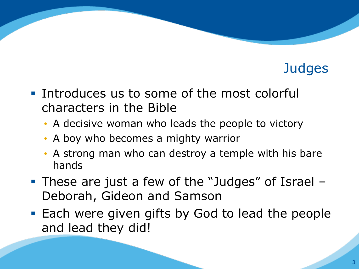- **Introduces us to some of the most colorful** characters in the Bible
	- A decisive woman who leads the people to victory
	- A boy who becomes a mighty warrior
	- A strong man who can destroy a temple with his bare hands
- § These are just a few of the "Judges" of Israel Deborah, Gideon and Samson
- Each were given gifts by God to lead the people and lead they did!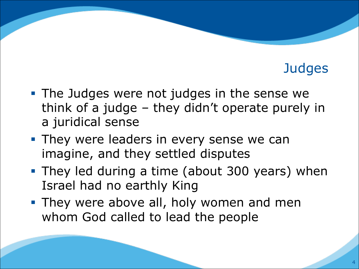- The Judges were not judges in the sense we think of a judge – they didn't operate purely in a juridical sense
- **They were leaders in every sense we can** imagine, and they settled disputes
- They led during a time (about 300 years) when Israel had no earthly King
- They were above all, holy women and men whom God called to lead the people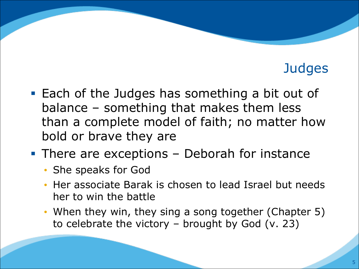- Each of the Judges has something a bit out of balance – something that makes them less than a complete model of faith; no matter how bold or brave they are
- There are exceptions Deborah for instance
	- She speaks for God
	- Her associate Barak is chosen to lead Israel but needs her to win the battle
	- When they win, they sing a song together (Chapter 5) to celebrate the victory  $-$  brought by God (v. 23)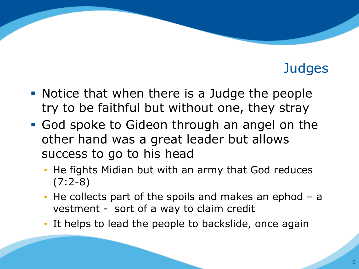- § Notice that when there is a Judge the people try to be faithful but without one, they stray
- § God spoke to Gideon through an angel on the other hand was a great leader but allows success to go to his head
	- He fights Midian but with an army that God reduces  $(7:2-8)$
	- He collects part of the spoils and makes an ephod a vestment - sort of a way to claim credit
	- It helps to lead the people to backslide, once again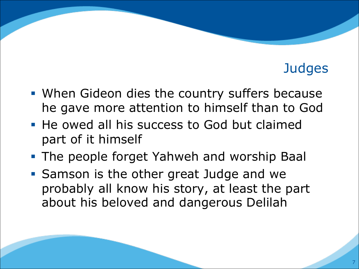- When Gideon dies the country suffers because he gave more attention to himself than to God
- He owed all his success to God but claimed part of it himself
- **The people forget Yahweh and worship Baal**
- Samson is the other great Judge and we probably all know his story, at least the part about his beloved and dangerous Delilah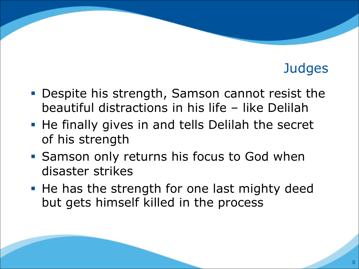- Despite his strength, Samson cannot resist the beautiful distractions in his life – like Delilah
- He finally gives in and tells Delilah the secret of his strength
- Samson only returns his focus to God when disaster strikes
- He has the strength for one last mighty deed but gets himself killed in the process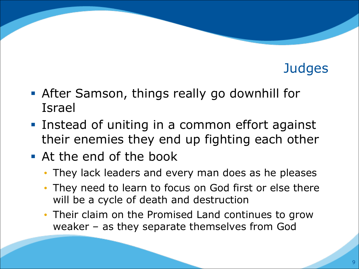- After Samson, things really go downhill for Israel
- Instead of uniting in a common effort against their enemies they end up fighting each other
- **At the end of the book** 
	- They lack leaders and every man does as he pleases
	- They need to learn to focus on God first or else there will be a cycle of death and destruction
	- Their claim on the Promised Land continues to grow weaker – as they separate themselves from God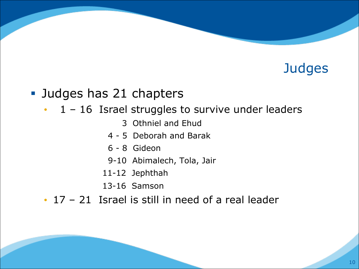#### ■ Judges has 21 chapters

- $\cdot$  1 16 Israel struggles to survive under leaders
	- 3 Othniel and Ehud
	- 4 5 Deborah and Barak
	- 6 8 Gideon
	- 9-10 Abimalech, Tola, Jair
	- 11-12 Jephthah
	- 13-16 Samson
- 17 21 Israel is still in need of a real leader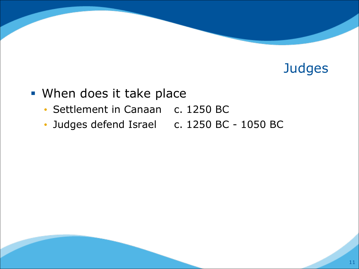- § When does it take place
	- Settlement in Canaan c. 1250 BC
	- Judges defend Israel c. 1250 BC 1050 BC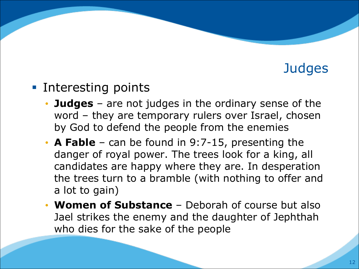- Interesting points
	- **Judges** are not judges in the ordinary sense of the word – they are temporary rulers over Israel, chosen by God to defend the people from the enemies
	- **A Fable**  can be found in 9:7-15, presenting the danger of royal power. The trees look for a king, all candidates are happy where they are. In desperation the trees turn to a bramble (with nothing to offer and a lot to gain)
	- **Women of Substance**  Deborah of course but also Jael strikes the enemy and the daughter of Jephthah who dies for the sake of the people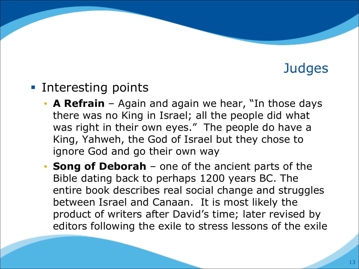- Interesting points
	- **A Refrain**  Again and again we hear, "In those days there was no King in Israel; all the people did what was right in their own eyes." The people do have a King, Yahweh, the God of Israel but they chose to ignore God and go their own way
	- **Song of Deborah** one of the ancient parts of the Bible dating back to perhaps 1200 years BC. The entire book describes real social change and struggles between Israel and Canaan. It is most likely the product of writers after David's time; later revised by editors following the exile to stress lessons of the exile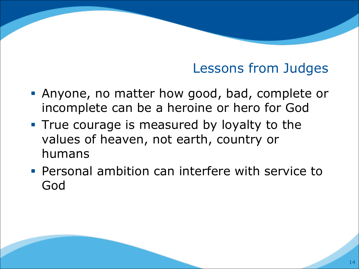# Lessons from Judges

- § Anyone, no matter how good, bad, complete or incomplete can be a heroine or hero for God
- **True courage is measured by loyalty to the** values of heaven, not earth, country or humans
- **Personal ambition can interfere with service to** God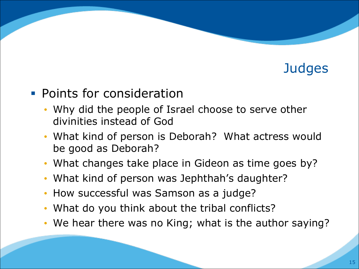#### **• Points for consideration**

- Why did the people of Israel choose to serve other divinities instead of God
- What kind of person is Deborah? What actress would be good as Deborah?
- What changes take place in Gideon as time goes by?
- What kind of person was Jephthah's daughter?
- How successful was Samson as a judge?
- What do you think about the tribal conflicts?
- We hear there was no King; what is the author saying?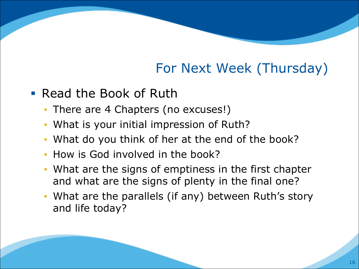# For Next Week (Thursday)

- § Read the Book of Ruth
	- There are 4 Chapters (no excuses!)
	- What is your initial impression of Ruth?
	- What do you think of her at the end of the book?
	- How is God involved in the book?
	- What are the signs of emptiness in the first chapter and what are the signs of plenty in the final one?
	- What are the parallels (if any) between Ruth's story and life today?